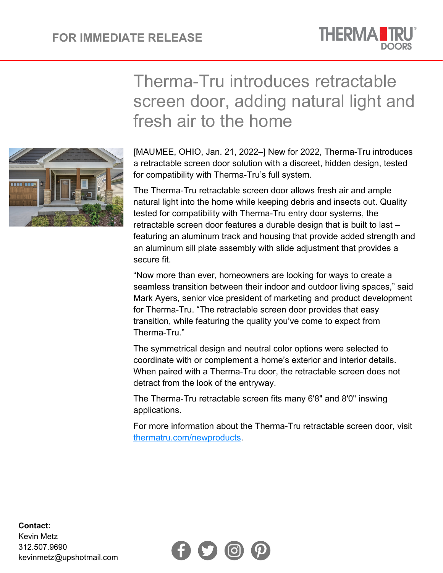

## fresh air to the home [MAUMEE, OHIO, Jan. 21, 2022–] New for 2022, Therma-Tru introduces a retractable screen door solution with a discreet, hidden design, tested for compatibility with Therma-Tru's full system.

The Therma-Tru retractable screen door allows fresh air and ample natural light into the home while keeping debris and insects out. Quality tested for compatibility with Therma-Tru entry door systems, the retractable screen door features a durable design that is built to last – featuring an aluminum track and housing that provide added strength and an aluminum sill plate assembly with slide adjustment that provides a secure fit.

Therma-Tru introduces retractable

screen door, adding natural light and

"Now more than ever, homeowners are looking for ways to create a seamless transition between their indoor and outdoor living spaces," said Mark Ayers, senior vice president of marketing and product development for Therma-Tru. "The retractable screen door provides that easy transition, while featuring the quality you've come to expect from Therma-Tru."

The symmetrical design and neutral color options were selected to coordinate with or complement a home's exterior and interior details. When paired with a Therma-Tru door, the retractable screen does not detract from the look of the entryway.

The Therma-Tru retractable screen fits many 6'8" and 8'0" inswing applications.

For more information about the Therma-Tru retractable screen door, visit [thermatru.com/newproducts.](http://www.thermatru.com/newproducts)





## **Contact:**

Kevin Metz 312.507.9690 kevinmetz@upshotmail.com